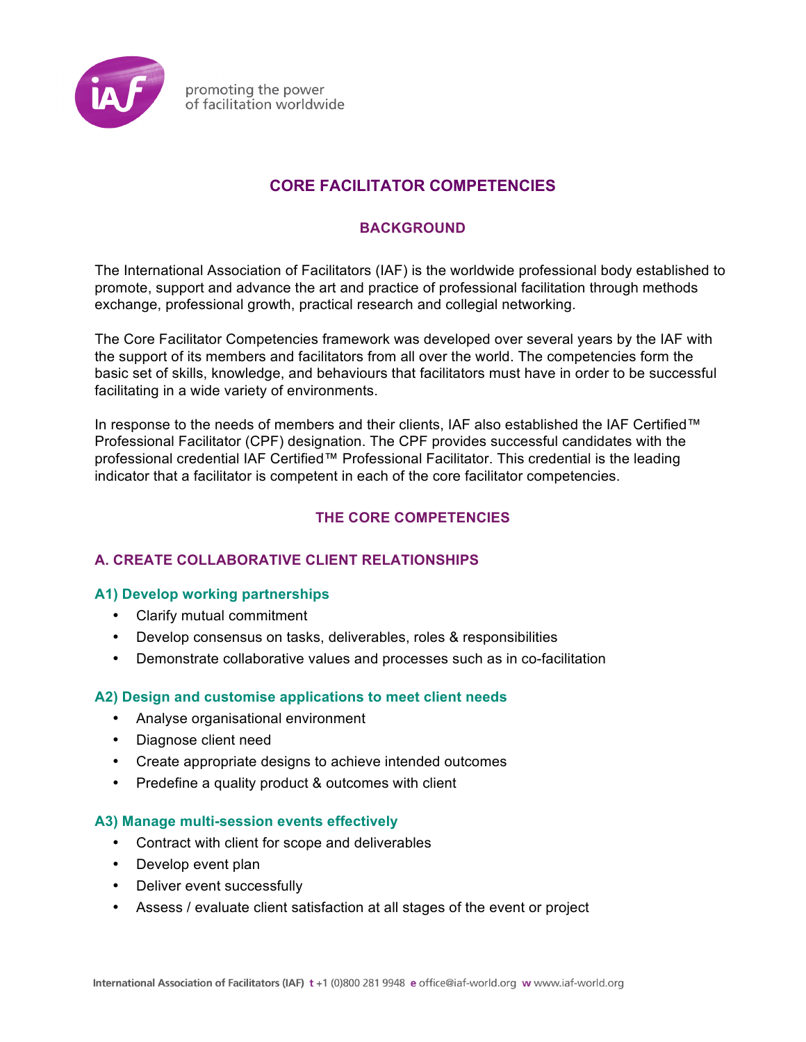

promoting the power of facilitation worldwide

# **CORE FACILITATOR COMPETENCIES**

# **BACKGROUND**

The International Association of Facilitators (IAF) is the worldwide professional body established to promote, support and advance the art and practice of professional facilitation through methods exchange, professional growth, practical research and collegial networking.

The Core Facilitator Competencies framework was developed over several years by the IAF with the support of its members and facilitators from all over the world. The competencies form the basic set of skills, knowledge, and behaviours that facilitators must have in order to be successful facilitating in a wide variety of environments.

In response to the needs of members and their clients, IAF also established the IAF Certified™ Professional Facilitator (CPF) designation. The CPF provides successful candidates with the professional credential IAF Certified™ Professional Facilitator. This credential is the leading indicator that a facilitator is competent in each of the core facilitator competencies.

# **THE CORE COMPETENCIES**

# **A. CREATE COLLABORATIVE CLIENT RELATIONSHIPS**

## **A1) Develop working partnerships**

- Clarify mutual commitment
- Develop consensus on tasks, deliverables, roles & responsibilities
- Demonstrate collaborative values and processes such as in co-facilitation

### **A2) Design and customise applications to meet client needs**

- Analyse organisational environment
- Diagnose client need
- Create appropriate designs to achieve intended outcomes
- Predefine a quality product & outcomes with client

### **A3) Manage multi-session events effectively**

- Contract with client for scope and deliverables
- Develop event plan
- Deliver event successfully
- Assess / evaluate client satisfaction at all stages of the event or project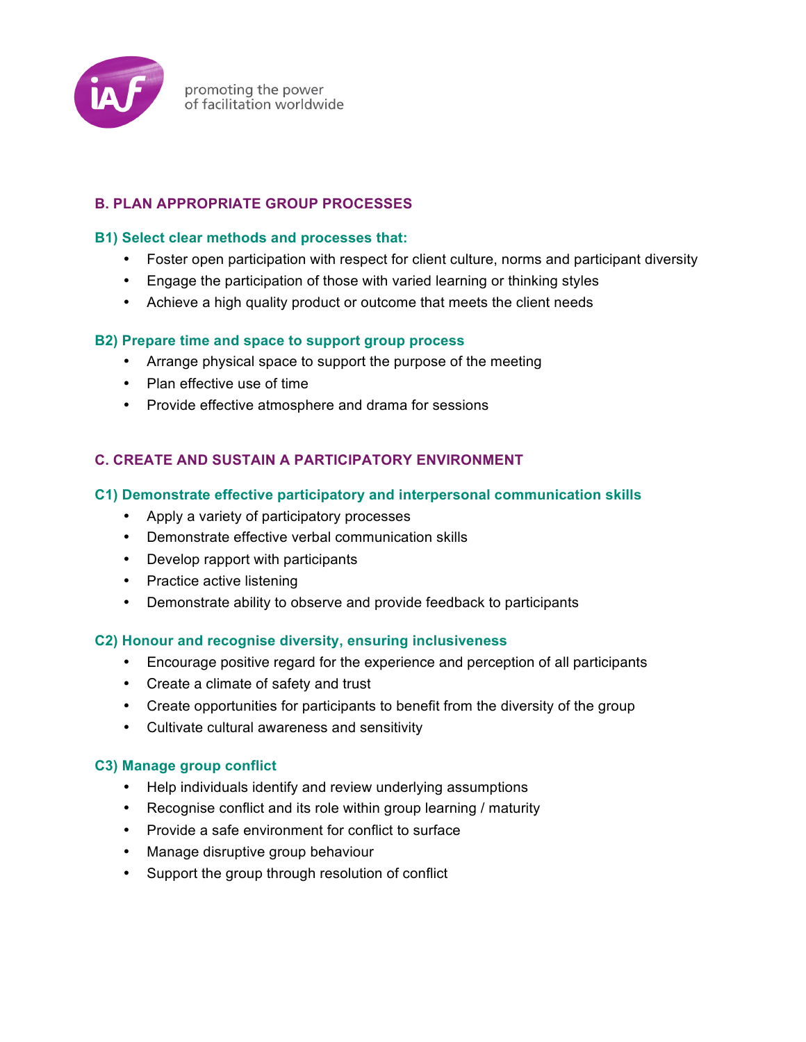

## **B. PLAN APPROPRIATE GROUP PROCESSES**

### **B1) Select clear methods and processes that:**

- Foster open participation with respect for client culture, norms and participant diversity
- Engage the participation of those with varied learning or thinking styles
- Achieve a high quality product or outcome that meets the client needs

### **B2) Prepare time and space to support group process**

- Arrange physical space to support the purpose of the meeting
- Plan effective use of time
- Provide effective atmosphere and drama for sessions

## **C. CREATE AND SUSTAIN A PARTICIPATORY ENVIRONMENT**

### **C1) Demonstrate effective participatory and interpersonal communication skills**

- Apply a variety of participatory processes
- Demonstrate effective verbal communication skills
- Develop rapport with participants
- Practice active listening
- Demonstrate ability to observe and provide feedback to participants

### **C2) Honour and recognise diversity, ensuring inclusiveness**

- Encourage positive regard for the experience and perception of all participants
- Create a climate of safety and trust
- Create opportunities for participants to benefit from the diversity of the group
- Cultivate cultural awareness and sensitivity

### **C3) Manage group conflict**

- Help individuals identify and review underlying assumptions
- Recognise conflict and its role within group learning / maturity
- Provide a safe environment for conflict to surface
- Manage disruptive group behaviour
- Support the group through resolution of conflict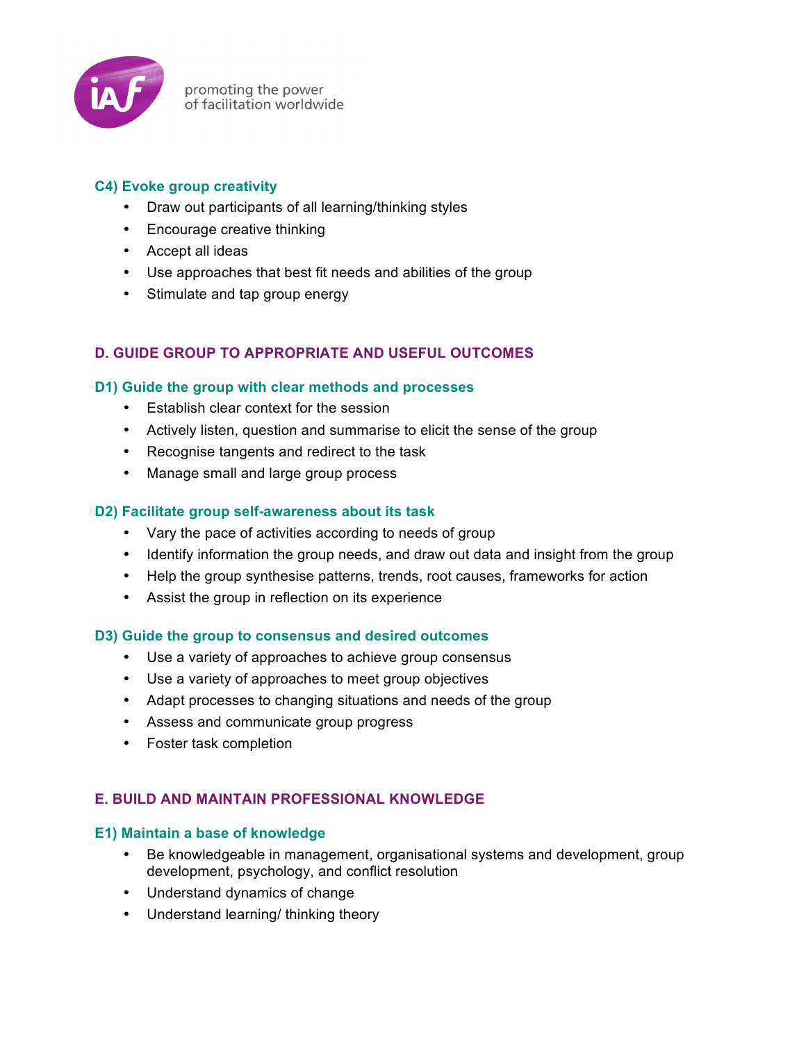

promoting the power<br>of facilitation worldwide

### **C4) Evoke group creativity**

- Draw out participants of all learning/thinking styles
- Encourage creative thinking
- Accept all ideas
- Use approaches that best fit needs and abilities of the group
- Stimulate and tap group energy

## **D. GUIDE GROUP TO APPROPRIATE AND USEFUL OUTCOMES**

### **D1) Guide the group with clear methods and processes**

- Establish clear context for the session
- Actively listen, question and summarise to elicit the sense of the group
- Recognise tangents and redirect to the task
- Manage small and large group process

### **D2) Facilitate group self-awareness about its task**

- Vary the pace of activities according to needs of group
- Identify information the group needs, and draw out data and insight from the group
- Help the group synthesise patterns, trends, root causes, frameworks for action
- Assist the group in reflection on its experience

### **D3) Guide the group to consensus and desired outcomes**

- Use a variety of approaches to achieve group consensus
- Use a variety of approaches to meet group objectives
- Adapt processes to changing situations and needs of the group
- Assess and communicate group progress
- Foster task completion

### **E. BUILD AND MAINTAIN PROFESSIONAL KNOWLEDGE**

### **E1) Maintain a base of knowledge**

- Be knowledgeable in management, organisational systems and development, group development, psychology, and conflict resolution
- Understand dynamics of change
- Understand learning/ thinking theory